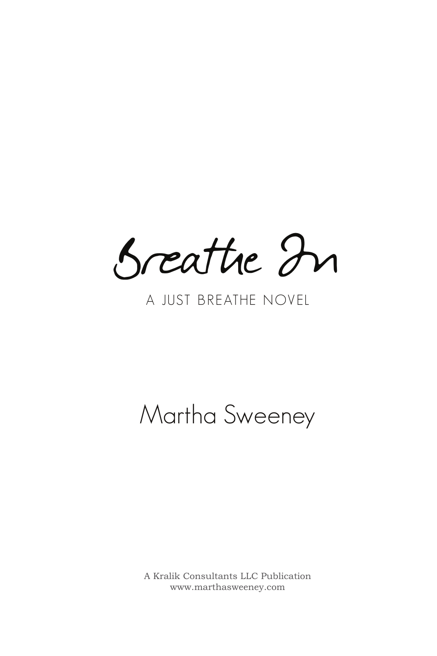Breathe In

## A JUST BREATHE NOVEL

## Martha Sweeney

A Kralik Consultants LLC Publication www.marthasweeney.com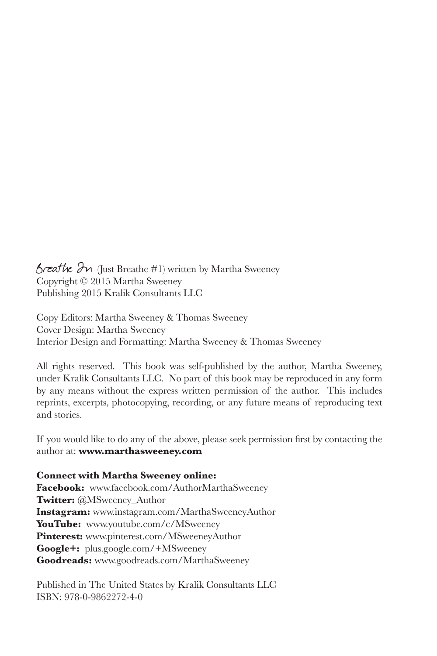$B$ reathe  $2n$  (Just Breathe #1) written by Martha Sweeney Copyright © 2015 Martha Sweeney Publishing 2015 Kralik Consultants LLC

Copy Editors: Martha Sweeney & Thomas Sweeney Cover Design: Martha Sweeney Interior Design and Formatting: Martha Sweeney & Thomas Sweeney

All rights reserved. This book was self-published by the author, Martha Sweeney, under Kralik Consultants LLC. No part of this book may be reproduced in any form by any means without the express written permission of the author. This includes reprints, excerpts, photocopying, recording, or any future means of reproducing text and stories.

If you would like to do any of the above, please seek permission first by contacting the author at: **www.marthasweeney.com**

**Connect with Martha Sweeney online:**

**Facebook:** www.facebook.com/AuthorMarthaSweeney **Twitter:** @MSweeney Author **Instagram:** www.instagram.com/MarthaSweeneyAuthor YouTube: www.youtube.com/c/MSweeney **Pinterest:** www.pinterest.com/MSweeneyAuthor **Google+:** plus.google.com/+MSweeney **Goodreads:** www.goodreads.com/MarthaSweeney

Published in The United States by Kralik Consultants LLC ISBN: 978-0-9862272-4-0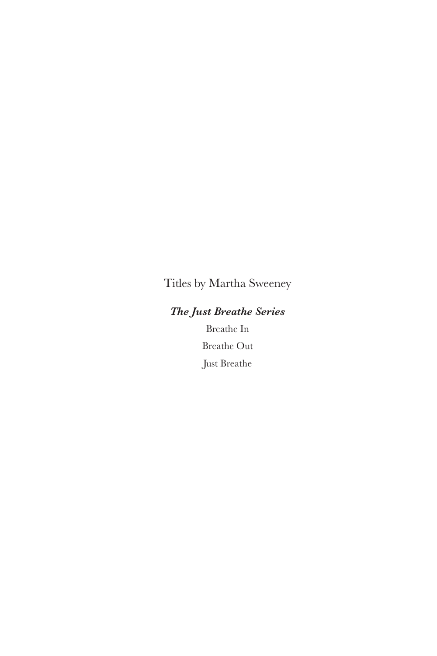Titles by Martha Sweeney

### *The Just Breathe Series*

Breathe In Breathe Out Just Breathe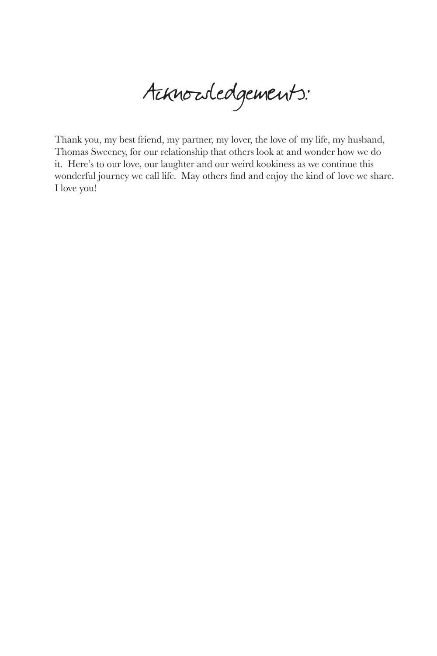Acknowledgements:

Thank you, my best friend, my partner, my lover, the love of my life, my husband, Thomas Sweeney, for our relationship that others look at and wonder how we do it. Here's to our love, our laughter and our weird kookiness as we continue this wonderful journey we call life. May others find and enjoy the kind of love we share. I love you!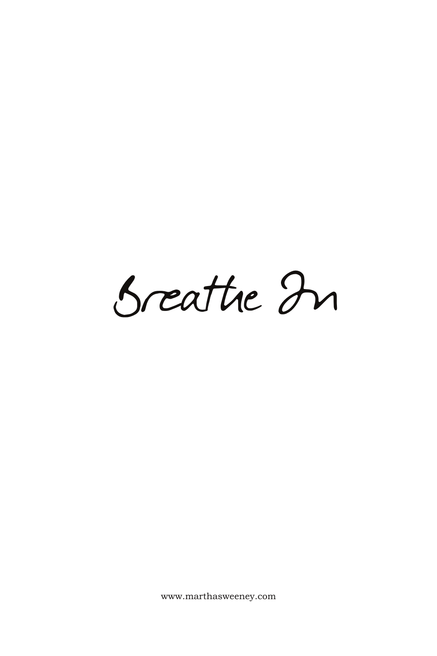Breathe In

www.marthasweeney.com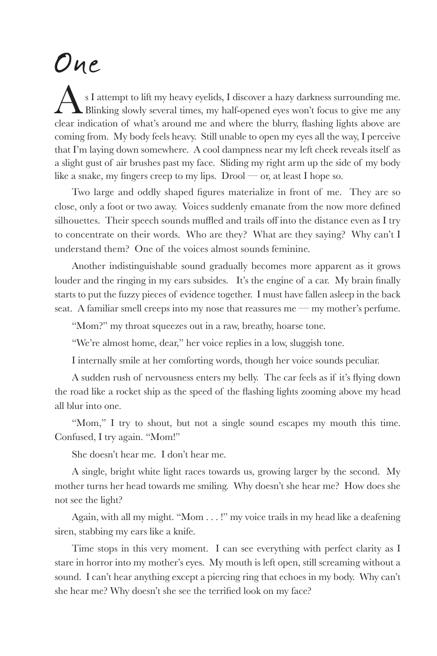## One

 $\Delta$  s I attempt to lift my heavy eyelids, I discover a hazy darkness surrounding me. Blinking slowly several times, my half-opened eyes won't focus to give me any clear indication of what's around me and where the blurry, flashing lights above are coming from. My body feels heavy. Still unable to open my eyes all the way, I perceive that I'm laying down somewhere. A cool dampness near my left cheek reveals itself as a slight gust of air brushes past my face. Sliding my right arm up the side of my body like a snake, my fingers creep to my lips. Drool — or, at least I hope so.

Two large and oddly shaped figures materialize in front of me. They are so close, only a foot or two away. Voices suddenly emanate from the now more defined silhouettes. Their speech sounds muffled and trails off into the distance even as I try to concentrate on their words. Who are they? What are they saying? Why can't I understand them? One of the voices almost sounds feminine.

Another indistinguishable sound gradually becomes more apparent as it grows louder and the ringing in my ears subsides. It's the engine of a car. My brain finally starts to put the fuzzy pieces of evidence together. I must have fallen asleep in the back seat. A familiar smell creeps into my nose that reassures me — my mother's perfume.

"Mom?" my throat squeezes out in a raw, breathy, hoarse tone.

"We're almost home, dear," her voice replies in a low, sluggish tone.

I internally smile at her comforting words, though her voice sounds peculiar.

A sudden rush of nervousness enters my belly. The car feels as if it's flying down the road like a rocket ship as the speed of the flashing lights zooming above my head all blur into one.

"Mom," I try to shout, but not a single sound escapes my mouth this time. Confused, I try again. "Mom!"

She doesn't hear me. I don't hear me.

A single, bright white light races towards us, growing larger by the second. My mother turns her head towards me smiling. Why doesn't she hear me? How does she not see the light?

Again, with all my might. "Mom . . . !" my voice trails in my head like a deafening siren, stabbing my ears like a knife.

Time stops in this very moment. I can see everything with perfect clarity as I stare in horror into my mother's eyes. My mouth is left open, still screaming without a sound. I can't hear anything except a piercing ring that echoes in my body. Why can't she hear me? Why doesn't she see the terrified look on my face?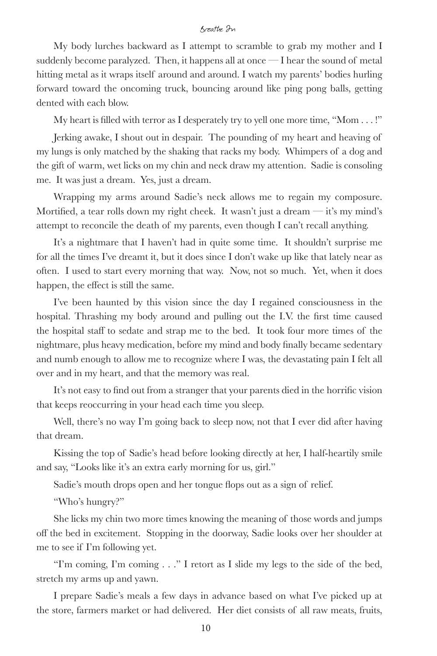My body lurches backward as I attempt to scramble to grab my mother and I suddenly become paralyzed. Then, it happens all at once — I hear the sound of metal hitting metal as it wraps itself around and around. I watch my parents' bodies hurling forward toward the oncoming truck, bouncing around like ping pong balls, getting dented with each blow.

My heart is filled with terror as I desperately try to yell one more time, "Mom . . . !"

Jerking awake, I shout out in despair. The pounding of my heart and heaving of my lungs is only matched by the shaking that racks my body. Whimpers of a dog and the gift of warm, wet licks on my chin and neck draw my attention. Sadie is consoling me. It was just a dream. Yes, just a dream.

Wrapping my arms around Sadie's neck allows me to regain my composure. Mortified, a tear rolls down my right cheek. It wasn't just a dream  $-$  it's my mind's attempt to reconcile the death of my parents, even though I can't recall anything.

It's a nightmare that I haven't had in quite some time. It shouldn't surprise me for all the times I've dreamt it, but it does since I don't wake up like that lately near as often. I used to start every morning that way. Now, not so much. Yet, when it does happen, the effect is still the same.

I've been haunted by this vision since the day I regained consciousness in the hospital. Thrashing my body around and pulling out the I.V. the first time caused the hospital staff to sedate and strap me to the bed. It took four more times of the nightmare, plus heavy medication, before my mind and body finally became sedentary and numb enough to allow me to recognize where I was, the devastating pain I felt all over and in my heart, and that the memory was real.

It's not easy to find out from a stranger that your parents died in the horrific vision that keeps reoccurring in your head each time you sleep.

Well, there's no way I'm going back to sleep now, not that I ever did after having that dream.

Kissing the top of Sadie's head before looking directly at her, I half-heartily smile and say, "Looks like it's an extra early morning for us, girl."

Sadie's mouth drops open and her tongue flops out as a sign of relief.

"Who's hungry?"

She licks my chin two more times knowing the meaning of those words and jumps off the bed in excitement. Stopping in the doorway, Sadie looks over her shoulder at me to see if I'm following yet.

"I'm coming, I'm coming . . ." I retort as I slide my legs to the side of the bed, stretch my arms up and yawn.

I prepare Sadie's meals a few days in advance based on what I've picked up at the store, farmers market or had delivered. Her diet consists of all raw meats, fruits,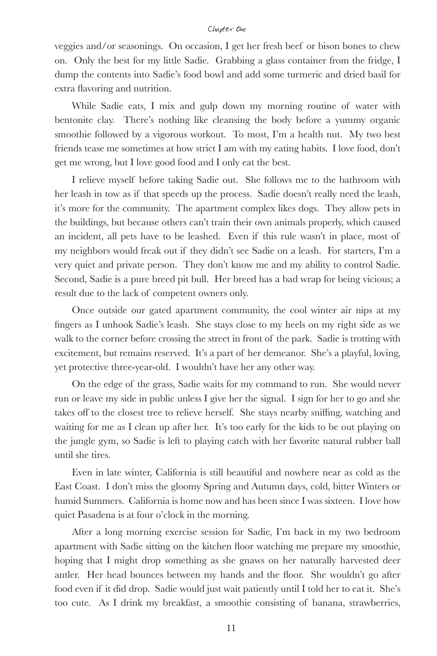#### Chapter One

veggies and/or seasonings. On occasion, I get her fresh beef or bison bones to chew on. Only the best for my little Sadie. Grabbing a glass container from the fridge, I dump the contents into Sadie's food bowl and add some turmeric and dried basil for extra flavoring and nutrition.

While Sadie eats, I mix and gulp down my morning routine of water with bentonite clay. There's nothing like cleansing the body before a yummy organic smoothie followed by a vigorous workout. To most, I'm a health nut. My two best friends tease me sometimes at how strict I am with my eating habits. I love food, don't get me wrong, but I love good food and I only eat the best.

I relieve myself before taking Sadie out. She follows me to the bathroom with her leash in tow as if that speeds up the process. Sadie doesn't really need the leash, it's more for the community. The apartment complex likes dogs. They allow pets in the buildings, but because others can't train their own animals properly, which caused an incident, all pets have to be leashed. Even if this rule wasn't in place, most of my neighbors would freak out if they didn't see Sadie on a leash. For starters, I'm a very quiet and private person. They don't know me and my ability to control Sadie. Second, Sadie is a pure breed pit bull. Her breed has a bad wrap for being vicious; a result due to the lack of competent owners only.

Once outside our gated apartment community, the cool winter air nips at my fingers as I unhook Sadie's leash. She stays close to my heels on my right side as we walk to the corner before crossing the street in front of the park. Sadie is trotting with excitement, but remains reserved. It's a part of her demeanor. She's a playful, loving, yet protective three-year-old. I wouldn't have her any other way.

On the edge of the grass, Sadie waits for my command to run. She would never run or leave my side in public unless I give her the signal. I sign for her to go and she takes off to the closest tree to relieve herself. She stays nearby sniffing, watching and waiting for me as I clean up after her. It's too early for the kids to be out playing on the jungle gym, so Sadie is left to playing catch with her favorite natural rubber ball until she tires.

Even in late winter, California is still beautiful and nowhere near as cold as the East Coast. I don't miss the gloomy Spring and Autumn days, cold, bitter Winters or humid Summers. California is home now and has been since I was sixteen. I love how quiet Pasadena is at four o'clock in the morning.

After a long morning exercise session for Sadie, I'm back in my two bedroom apartment with Sadie sitting on the kitchen floor watching me prepare my smoothie, hoping that I might drop something as she gnaws on her naturally harvested deer antler. Her head bounces between my hands and the floor. She wouldn't go after food even if it did drop. Sadie would just wait patiently until I told her to eat it. She's too cute. As I drink my breakfast, a smoothie consisting of banana, strawberries,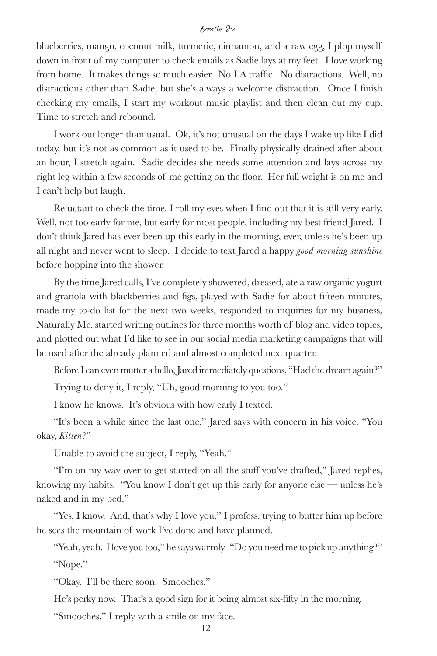blueberries, mango, coconut milk, turmeric, cinnamon, and a raw egg, I plop myself down in front of my computer to check emails as Sadie lays at my feet. I love working from home. It makes things so much easier. No LA traffic. No distractions. Well, no distractions other than Sadie, but she's always a welcome distraction. Once I finish checking my emails, I start my workout music playlist and then clean out my cup. Time to stretch and rebound.

I work out longer than usual. Ok, it's not unusual on the days I wake up like I did today, but it's not as common as it used to be. Finally physically drained after about an hour, I stretch again. Sadie decides she needs some attention and lays across my right leg within a few seconds of me getting on the floor. Her full weight is on me and I can't help but laugh.

Reluctant to check the time, I roll my eyes when I find out that it is still very early. Well, not too early for me, but early for most people, including my best friend Jared. I don't think Jared has ever been up this early in the morning, ever, unless he's been up all night and never went to sleep. I decide to text Jared a happy *good morning sunshine* before hopping into the shower.

By the time Jared calls, I've completely showered, dressed, ate a raw organic yogurt and granola with blackberries and figs, played with Sadie for about fifteen minutes, made my to-do list for the next two weeks, responded to inquiries for my business, Naturally Me, started writing outlines for three months worth of blog and video topics, and plotted out what I'd like to see in our social media marketing campaigns that will be used after the already planned and almost completed next quarter.

Before I can even mutter a hello, Jared immediately questions, "Had the dream again?"

Trying to deny it, I reply, "Uh, good morning to you too."

I know he knows. It's obvious with how early I texted.

"It's been a while since the last one," Jared says with concern in his voice. "You okay, *Kitten*?"

Unable to avoid the subject, I reply, "Yeah."

"I'm on my way over to get started on all the stuff you've drafted," Jared replies, knowing my habits. "You know I don't get up this early for anyone else — unless he's naked and in my bed."

"Yes, I know. And, that's why I love you," I profess, trying to butter him up before he sees the mountain of work I've done and have planned.

"Yeah, yeah. I love you too," he says warmly. "Do you need me to pick up anything?" "Nope."

"Okay. I'll be there soon. Smooches."

He's perky now. That's a good sign for it being almost six-fifty in the morning.

"Smooches," I reply with a smile on my face.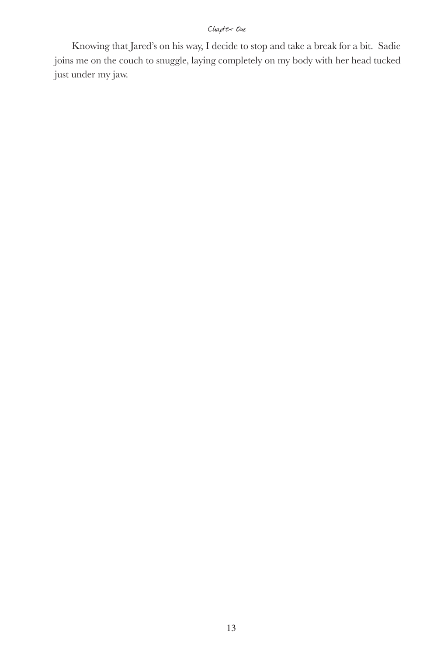#### Chapter One

Knowing that Jared's on his way, I decide to stop and take a break for a bit. Sadie joins me on the couch to snuggle, laying completely on my body with her head tucked just under my jaw.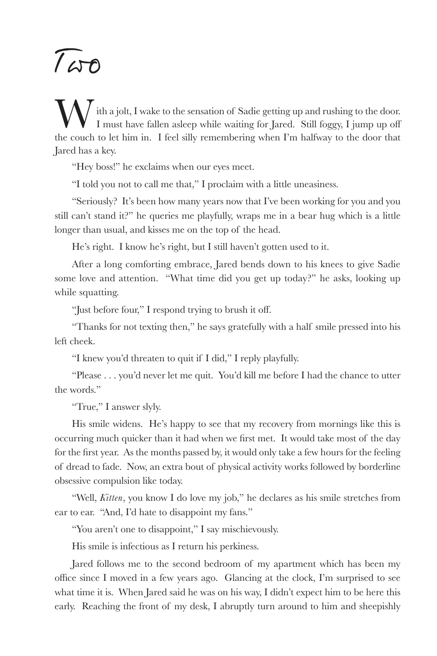# Two

W ith a jolt, I wake to the sensation of Sadie getting up and rushing to the door.<br>I must have fallen asleep while waiting for Jared. Still foggy, I jump up off<br>the couch to let him in . I feel silly remembering when Em ha I must have fallen asleep while waiting for Jared. Still foggy, I jump up off the couch to let him in. I feel silly remembering when I'm halfway to the door that Jared has a key.

"Hey boss!" he exclaims when our eyes meet.

"I told you not to call me that," I proclaim with a little uneasiness.

"Seriously? It's been how many years now that I've been working for you and you still can't stand it?" he queries me playfully, wraps me in a bear hug which is a little longer than usual, and kisses me on the top of the head.

He's right. I know he's right, but I still haven't gotten used to it.

After a long comforting embrace, Jared bends down to his knees to give Sadie some love and attention. "What time did you get up today?" he asks, looking up while squatting.

"Just before four," I respond trying to brush it off.

"Thanks for not texting then," he says gratefully with a half smile pressed into his left cheek.

"I knew you'd threaten to quit if I did," I reply playfully.

"Please . . . you'd never let me quit. You'd kill me before I had the chance to utter the words."

"True," I answer slyly.

His smile widens. He's happy to see that my recovery from mornings like this is occurring much quicker than it had when we first met. It would take most of the day for the first year. As the months passed by, it would only take a few hours for the feeling of dread to fade. Now, an extra bout of physical activity works followed by borderline obsessive compulsion like today.

"Well, *Kitten*, you know I do love my job," he declares as his smile stretches from ear to ear. "And, I'd hate to disappoint my fans."

"You aren't one to disappoint," I say mischievously.

His smile is infectious as I return his perkiness.

Jared follows me to the second bedroom of my apartment which has been my office since I moved in a few years ago. Glancing at the clock, I'm surprised to see what time it is. When Jared said he was on his way, I didn't expect him to be here this early. Reaching the front of my desk, I abruptly turn around to him and sheepishly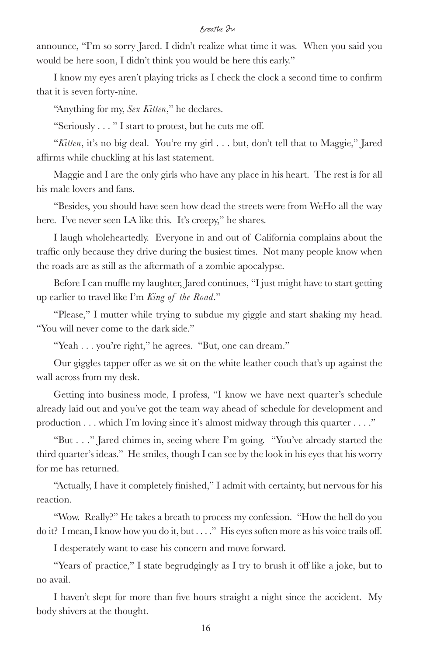announce, "I'm so sorry Jared. I didn't realize what time it was. When you said you would be here soon, I didn't think you would be here this early."

I know my eyes aren't playing tricks as I check the clock a second time to confirm that it is seven forty-nine.

"Anything for my, *Sex Kitten*," he declares.

"Seriously . . . " I start to protest, but he cuts me off.

"*Kitten*, it's no big deal. You're my girl . . . but, don't tell that to Maggie," Jared affirms while chuckling at his last statement.

Maggie and I are the only girls who have any place in his heart. The rest is for all his male lovers and fans.

"Besides, you should have seen how dead the streets were from WeHo all the way here. I've never seen LA like this. It's creepy," he shares.

I laugh wholeheartedly. Everyone in and out of California complains about the traffic only because they drive during the busiest times. Not many people know when the roads are as still as the aftermath of a zombie apocalypse.

Before I can muffle my laughter, Jared continues, "I just might have to start getting up earlier to travel like I'm *King of the Road*."

"Please," I mutter while trying to subdue my giggle and start shaking my head. "You will never come to the dark side."

"Yeah . . . you're right," he agrees. "But, one can dream."

Our giggles tapper offer as we sit on the white leather couch that's up against the wall across from my desk.

Getting into business mode, I profess, "I know we have next quarter's schedule already laid out and you've got the team way ahead of schedule for development and production . . . which I'm loving since it's almost midway through this quarter . . . ."

"But . . ." Jared chimes in, seeing where I'm going. "You've already started the third quarter's ideas." He smiles, though I can see by the look in his eyes that his worry for me has returned.

"Actually, I have it completely finished," I admit with certainty, but nervous for his reaction.

"Wow. Really?" He takes a breath to process my confession. "How the hell do you do it? I mean, I know how you do it, but . . . ." His eyes soften more as his voice trails off.

I desperately want to ease his concern and move forward.

"Years of practice," I state begrudgingly as I try to brush it off like a joke, but to no avail.

I haven't slept for more than five hours straight a night since the accident. My body shivers at the thought.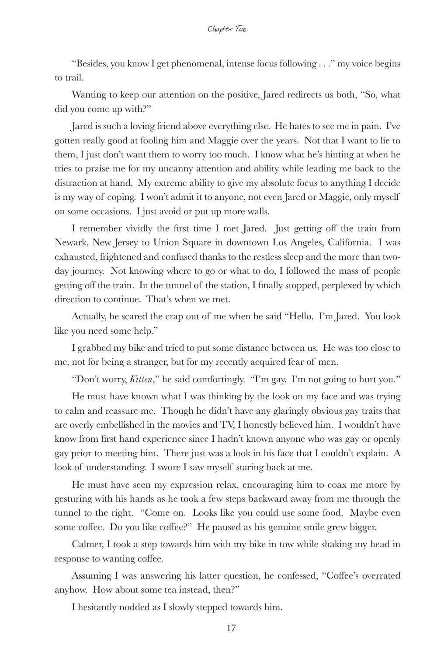"Besides, you know I get phenomenal, intense focus following . . ." my voice begins to trail.

Wanting to keep our attention on the positive, Jared redirects us both, "So, what did you come up with?"

Jared is such a loving friend above everything else. He hates to see me in pain. I've gotten really good at fooling him and Maggie over the years. Not that I want to lie to them, I just don't want them to worry too much. I know what he's hinting at when he tries to praise me for my uncanny attention and ability while leading me back to the distraction at hand. My extreme ability to give my absolute focus to anything I decide is my way of coping. I won't admit it to anyone, not even Jared or Maggie, only myself on some occasions. I just avoid or put up more walls.

I remember vividly the first time I met Jared. Just getting off the train from Newark, New Jersey to Union Square in downtown Los Angeles, California. I was exhausted, frightened and confused thanks to the restless sleep and the more than twoday journey. Not knowing where to go or what to do, I followed the mass of people getting off the train. In the tunnel of the station, I finally stopped, perplexed by which direction to continue. That's when we met.

Actually, he scared the crap out of me when he said "Hello. I'm Jared. You look like you need some help."

I grabbed my bike and tried to put some distance between us. He was too close to me, not for being a stranger, but for my recently acquired fear of men.

"Don't worry, *Kitten*," he said comfortingly. "I'm gay. I'm not going to hurt you."

He must have known what I was thinking by the look on my face and was trying to calm and reassure me. Though he didn't have any glaringly obvious gay traits that are overly embellished in the movies and TV, I honestly believed him. I wouldn't have know from first hand experience since I hadn't known anyone who was gay or openly gay prior to meeting him. There just was a look in his face that I couldn't explain. A look of understanding. I swore I saw myself staring back at me.

He must have seen my expression relax, encouraging him to coax me more by gesturing with his hands as he took a few steps backward away from me through the tunnel to the right. "Come on. Looks like you could use some food. Maybe even some coffee. Do you like coffee?" He paused as his genuine smile grew bigger.

Calmer, I took a step towards him with my bike in tow while shaking my head in response to wanting coffee.

Assuming I was answering his latter question, he confessed, "Coffee's overrated anyhow. How about some tea instead, then?"

I hesitantly nodded as I slowly stepped towards him.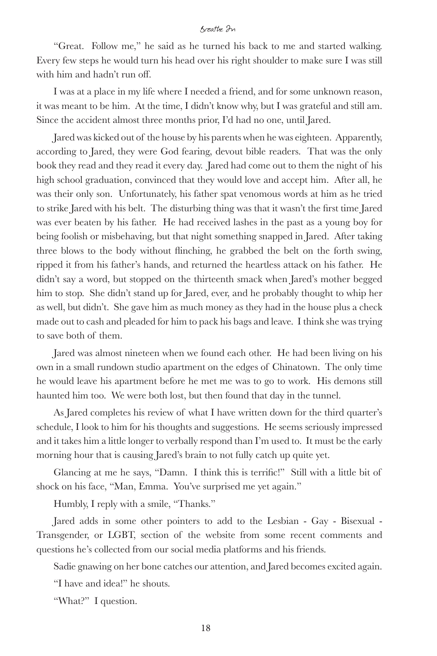"Great. Follow me," he said as he turned his back to me and started walking. Every few steps he would turn his head over his right shoulder to make sure I was still with him and hadn't run off.

I was at a place in my life where I needed a friend, and for some unknown reason, it was meant to be him. At the time, I didn't know why, but I was grateful and still am. Since the accident almost three months prior, I'd had no one, until Jared.

Jared was kicked out of the house by his parents when he was eighteen. Apparently, according to Jared, they were God fearing, devout bible readers. That was the only book they read and they read it every day. Jared had come out to them the night of his high school graduation, convinced that they would love and accept him. After all, he was their only son. Unfortunately, his father spat venomous words at him as he tried to strike Jared with his belt. The disturbing thing was that it wasn't the first time Jared was ever beaten by his father. He had received lashes in the past as a young boy for being foolish or misbehaving, but that night something snapped in Jared. After taking three blows to the body without flinching, he grabbed the belt on the forth swing, ripped it from his father's hands, and returned the heartless attack on his father. He didn't say a word, but stopped on the thirteenth smack when Jared's mother begged him to stop. She didn't stand up for Jared, ever, and he probably thought to whip her as well, but didn't. She gave him as much money as they had in the house plus a check made out to cash and pleaded for him to pack his bags and leave. I think she was trying to save both of them.

Jared was almost nineteen when we found each other. He had been living on his own in a small rundown studio apartment on the edges of Chinatown. The only time he would leave his apartment before he met me was to go to work. His demons still haunted him too. We were both lost, but then found that day in the tunnel.

As Jared completes his review of what I have written down for the third quarter's schedule, I look to him for his thoughts and suggestions. He seems seriously impressed and it takes him a little longer to verbally respond than I'm used to. It must be the early morning hour that is causing Jared's brain to not fully catch up quite yet.

Glancing at me he says, "Damn. I think this is terrific!" Still with a little bit of shock on his face, "Man, Emma. You've surprised me yet again."

Humbly, I reply with a smile, "Thanks."

Jared adds in some other pointers to add to the Lesbian - Gay - Bisexual - Transgender, or LGBT, section of the website from some recent comments and questions he's collected from our social media platforms and his friends.

Sadie gnawing on her bone catches our attention, and Jared becomes excited again.

"I have and idea!" he shouts.

"What?" I question.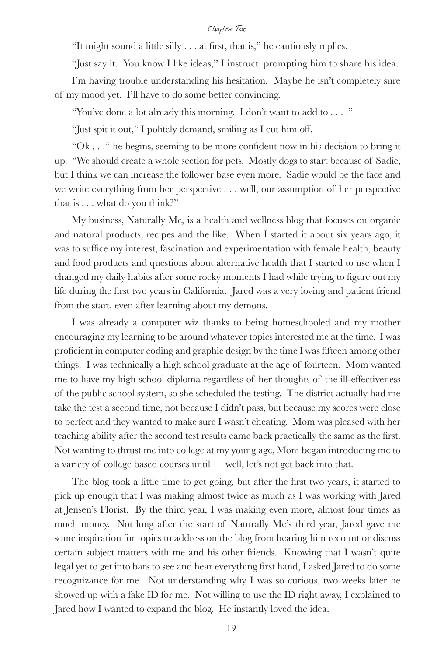"It might sound a little silly . . . at first, that is," he cautiously replies.

"Just say it. You know I like ideas," I instruct, prompting him to share his idea.

I'm having trouble understanding his hesitation. Maybe he isn't completely sure of my mood yet. I'll have to do some better convincing.

"You've done a lot already this morning. I don't want to add to . . . ."

"Just spit it out," I politely demand, smiling as I cut him off.

"Ok . . ." he begins, seeming to be more confident now in his decision to bring it up. "We should create a whole section for pets. Mostly dogs to start because of Sadie, but I think we can increase the follower base even more. Sadie would be the face and we write everything from her perspective . . . well, our assumption of her perspective that is . . . what do you think?"

My business, Naturally Me, is a health and wellness blog that focuses on organic and natural products, recipes and the like. When I started it about six years ago, it was to suffice my interest, fascination and experimentation with female health, beauty and food products and questions about alternative health that I started to use when I changed my daily habits after some rocky moments I had while trying to figure out my life during the first two years in California. Jared was a very loving and patient friend from the start, even after learning about my demons.

I was already a computer wiz thanks to being homeschooled and my mother encouraging my learning to be around whatever topics interested me at the time. I was proficient in computer coding and graphic design by the time I was fifteen among other things. I was technically a high school graduate at the age of fourteen. Mom wanted me to have my high school diploma regardless of her thoughts of the ill-effectiveness of the public school system, so she scheduled the testing. The district actually had me take the test a second time, not because I didn't pass, but because my scores were close to perfect and they wanted to make sure I wasn't cheating. Mom was pleased with her teaching ability after the second test results came back practically the same as the first. Not wanting to thrust me into college at my young age, Mom began introducing me to a variety of college based courses until — well, let's not get back into that.

The blog took a little time to get going, but after the first two years, it started to pick up enough that I was making almost twice as much as I was working with Jared at Jensen's Florist. By the third year, I was making even more, almost four times as much money. Not long after the start of Naturally Me's third year, Jared gave me some inspiration for topics to address on the blog from hearing him recount or discuss certain subject matters with me and his other friends. Knowing that I wasn't quite legal yet to get into bars to see and hear everything first hand, I asked Jared to do some recognizance for me. Not understanding why I was so curious, two weeks later he showed up with a fake ID for me. Not willing to use the ID right away, I explained to Jared how I wanted to expand the blog. He instantly loved the idea.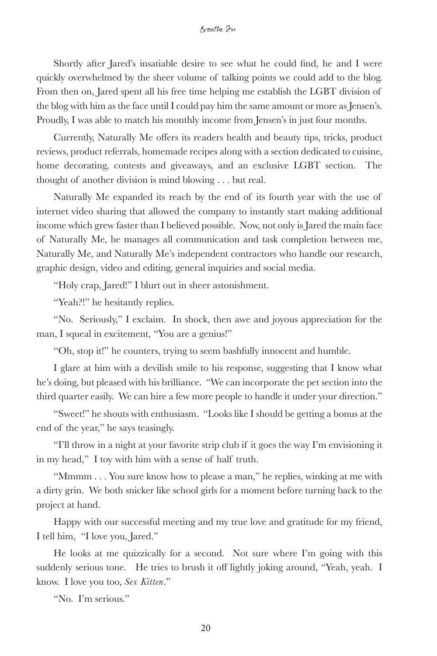Shortly after Jared's insatiable desire to see what he could find, he and I were quickly overwhelmed by the sheer volume of talking points we could add to the blog. From then on, Jared spent all his free time helping me establish the LGBT division of the blog with him as the face until I could pay him the same amount or more as Jensen's. Proudly, I was able to match his monthly income from Jensen's in just four months.

Currently, Naturally Me offers its readers health and beauty tips, tricks, product reviews, product referrals, homemade recipes along with a section dedicated to cuisine, home decorating, contests and giveaways, and an exclusive LGBT section. The thought of another division is mind blowing . . . but real.

Naturally Me expanded its reach by the end of its fourth year with the use of internet video sharing that allowed the company to instantly start making additional income which grew faster than I believed possible. Now, not only is Jared the main face of Naturally Me, he manages all communication and task completion between me, Naturally Me, and Naturally Me's independent contractors who handle our research, graphic design, video and editing, general inquiries and social media.

"Holy crap, Jared!" I blurt out in sheer astonishment.

"Yeah?!" he hesitantly replies.

"No. Seriously," I exclaim. In shock, then awe and joyous appreciation for the man, I squeal in excitement, "You are a genius!"

"Oh, stop it!" he counters, trying to seem bashfully innocent and humble.

I glare at him with a devilish smile to his response, suggesting that I know what he's doing, but pleased with his brilliance. "We can incorporate the pet section into the third quarter easily. We can hire a few more people to handle it under your direction."

"Sweet!" he shouts with enthusiasm. "Looks like I should be getting a bonus at the end of the year," he says teasingly.

"I'll throw in a night at your favorite strip club if it goes the way I'm envisioning it in my head," I toy with him with a sense of half truth.

"Mmmm . . . You sure know how to please a man," he replies, winking at me with a dirty grin. We both snicker like school girls for a moment before turning back to the project at hand.

Happy with our successful meeting and my true love and gratitude for my friend, I tell him, "I love you, Jared."

He looks at me quizzically for a second. Not sure where I'm going with this suddenly serious tone. He tries to brush it off lightly joking around, "Yeah, yeah. I know. I love you too, *Sex Kitten*."

"No. I'm serious."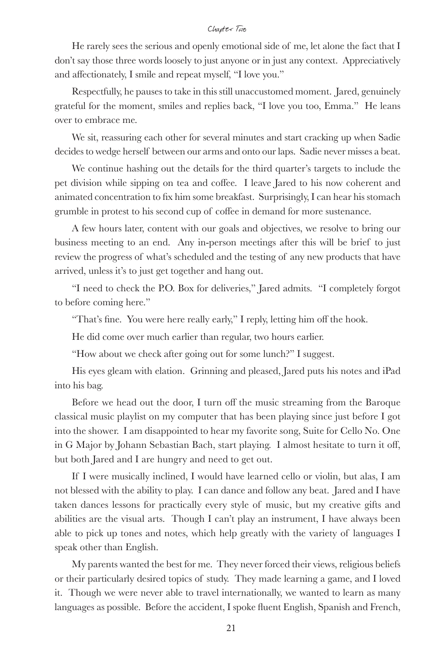He rarely sees the serious and openly emotional side of me, let alone the fact that I don't say those three words loosely to just anyone or in just any context. Appreciatively and affectionately, I smile and repeat myself, "I love you."

Respectfully, he pauses to take in this still unaccustomed moment. Jared, genuinely grateful for the moment, smiles and replies back, "I love you too, Emma." He leans over to embrace me.

We sit, reassuring each other for several minutes and start cracking up when Sadie decides to wedge herself between our arms and onto our laps. Sadie never misses a beat.

We continue hashing out the details for the third quarter's targets to include the pet division while sipping on tea and coffee. I leave Jared to his now coherent and animated concentration to fix him some breakfast. Surprisingly, I can hear his stomach grumble in protest to his second cup of coffee in demand for more sustenance.

A few hours later, content with our goals and objectives, we resolve to bring our business meeting to an end. Any in-person meetings after this will be brief to just review the progress of what's scheduled and the testing of any new products that have arrived, unless it's to just get together and hang out.

"I need to check the P.O. Box for deliveries," Jared admits. "I completely forgot to before coming here."

"That's fine. You were here really early," I reply, letting him off the hook.

He did come over much earlier than regular, two hours earlier.

"How about we check after going out for some lunch?" I suggest.

His eyes gleam with elation. Grinning and pleased, Jared puts his notes and iPad into his bag.

Before we head out the door, I turn off the music streaming from the Baroque classical music playlist on my computer that has been playing since just before I got into the shower. I am disappointed to hear my favorite song, Suite for Cello No. One in G Major by Johann Sebastian Bach, start playing. I almost hesitate to turn it off, but both Jared and I are hungry and need to get out.

If I were musically inclined, I would have learned cello or violin, but alas, I am not blessed with the ability to play. I can dance and follow any beat. Jared and I have taken dances lessons for practically every style of music, but my creative gifts and abilities are the visual arts. Though I can't play an instrument, I have always been able to pick up tones and notes, which help greatly with the variety of languages I speak other than English.

My parents wanted the best for me. They never forced their views, religious beliefs or their particularly desired topics of study. They made learning a game, and I loved it. Though we were never able to travel internationally, we wanted to learn as many languages as possible. Before the accident, I spoke fluent English, Spanish and French,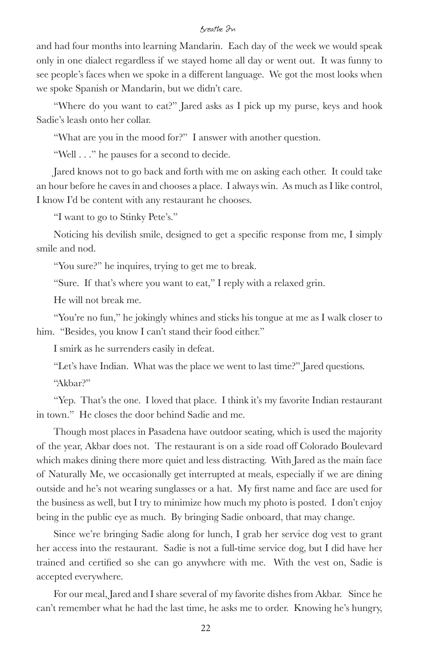and had four months into learning Mandarin. Each day of the week we would speak only in one dialect regardless if we stayed home all day or went out. It was funny to see people's faces when we spoke in a different language. We got the most looks when we spoke Spanish or Mandarin, but we didn't care.

"Where do you want to eat?" Jared asks as I pick up my purse, keys and hook Sadie's leash onto her collar.

"What are you in the mood for?" I answer with another question.

"Well . . ." he pauses for a second to decide.

Jared knows not to go back and forth with me on asking each other. It could take an hour before he caves in and chooses a place. I always win. As much as I like control, I know I'd be content with any restaurant he chooses.

"I want to go to Stinky Pete's."

Noticing his devilish smile, designed to get a specific response from me, I simply smile and nod.

"You sure?" he inquires, trying to get me to break.

"Sure. If that's where you want to eat," I reply with a relaxed grin.

He will not break me.

"You're no fun," he jokingly whines and sticks his tongue at me as I walk closer to him. "Besides, you know I can't stand their food either."

I smirk as he surrenders easily in defeat.

"Let's have Indian. What was the place we went to last time?" Jared questions.

"Akbar?"

"Yep. That's the one. I loved that place. I think it's my favorite Indian restaurant in town." He closes the door behind Sadie and me.

Though most places in Pasadena have outdoor seating, which is used the majority of the year, Akbar does not. The restaurant is on a side road off Colorado Boulevard which makes dining there more quiet and less distracting. With Jared as the main face of Naturally Me, we occasionally get interrupted at meals, especially if we are dining outside and he's not wearing sunglasses or a hat. My first name and face are used for the business as well, but I try to minimize how much my photo is posted. I don't enjoy being in the public eye as much. By bringing Sadie onboard, that may change.

Since we're bringing Sadie along for lunch, I grab her service dog vest to grant her access into the restaurant. Sadie is not a full-time service dog, but I did have her trained and certified so she can go anywhere with me. With the vest on, Sadie is accepted everywhere.

For our meal, Jared and I share several of my favorite dishes from Akbar. Since he can't remember what he had the last time, he asks me to order. Knowing he's hungry,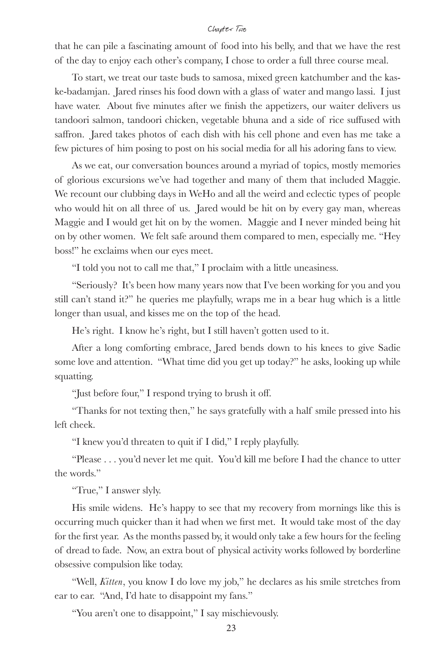that he can pile a fascinating amount of food into his belly, and that we have the rest of the day to enjoy each other's company, I chose to order a full three course meal.

To start, we treat our taste buds to samosa, mixed green katchumber and the kaske-badamjan. Jared rinses his food down with a glass of water and mango lassi. I just have water. About five minutes after we finish the appetizers, our waiter delivers us tandoori salmon, tandoori chicken, vegetable bhuna and a side of rice suffused with saffron. Jared takes photos of each dish with his cell phone and even has me take a few pictures of him posing to post on his social media for all his adoring fans to view.

As we eat, our conversation bounces around a myriad of topics, mostly memories of glorious excursions we've had together and many of them that included Maggie. We recount our clubbing days in WeHo and all the weird and eclectic types of people who would hit on all three of us. Jared would be hit on by every gay man, whereas Maggie and I would get hit on by the women. Maggie and I never minded being hit on by other women. We felt safe around them compared to men, especially me. "Hey boss!" he exclaims when our eyes meet.

"I told you not to call me that," I proclaim with a little uneasiness.

"Seriously? It's been how many years now that I've been working for you and you still can't stand it?" he queries me playfully, wraps me in a bear hug which is a little longer than usual, and kisses me on the top of the head.

He's right. I know he's right, but I still haven't gotten used to it.

After a long comforting embrace, Jared bends down to his knees to give Sadie some love and attention. "What time did you get up today?" he asks, looking up while squatting.

"Just before four," I respond trying to brush it off.

"Thanks for not texting then," he says gratefully with a half smile pressed into his left cheek.

"I knew you'd threaten to quit if I did," I reply playfully.

"Please . . . you'd never let me quit. You'd kill me before I had the chance to utter the words."

"True," I answer slyly.

His smile widens. He's happy to see that my recovery from mornings like this is occurring much quicker than it had when we first met. It would take most of the day for the first year. As the months passed by, it would only take a few hours for the feeling of dread to fade. Now, an extra bout of physical activity works followed by borderline obsessive compulsion like today.

"Well, *Kitten*, you know I do love my job," he declares as his smile stretches from ear to ear. "And, I'd hate to disappoint my fans."

"You aren't one to disappoint," I say mischievously.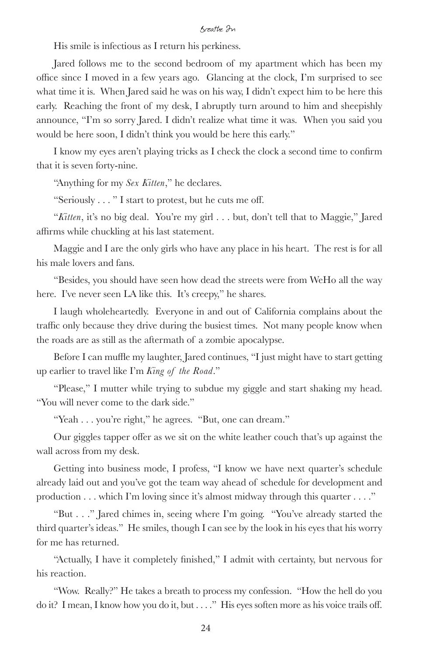His smile is infectious as I return his perkiness.

Jared follows me to the second bedroom of my apartment which has been my office since I moved in a few years ago. Glancing at the clock, I'm surprised to see what time it is. When Jared said he was on his way, I didn't expect him to be here this early. Reaching the front of my desk, I abruptly turn around to him and sheepishly announce, "I'm so sorry Jared. I didn't realize what time it was. When you said you would be here soon, I didn't think you would be here this early."

I know my eyes aren't playing tricks as I check the clock a second time to confirm that it is seven forty-nine.

"Anything for my *Sex Kitten*," he declares.

"Seriously . . . " I start to protest, but he cuts me off.

"*Kitten*, it's no big deal. You're my girl . . . but, don't tell that to Maggie," Jared affirms while chuckling at his last statement.

Maggie and I are the only girls who have any place in his heart. The rest is for all his male lovers and fans.

"Besides, you should have seen how dead the streets were from WeHo all the way here. I've never seen LA like this. It's creepy," he shares.

I laugh wholeheartedly. Everyone in and out of California complains about the traffic only because they drive during the busiest times. Not many people know when the roads are as still as the aftermath of a zombie apocalypse.

Before I can muffle my laughter, Jared continues, "I just might have to start getting up earlier to travel like I'm *King of the Road*."

"Please," I mutter while trying to subdue my giggle and start shaking my head. "You will never come to the dark side."

"Yeah . . . you're right," he agrees. "But, one can dream."

Our giggles tapper offer as we sit on the white leather couch that's up against the wall across from my desk.

Getting into business mode, I profess, "I know we have next quarter's schedule already laid out and you've got the team way ahead of schedule for development and production . . . which I'm loving since it's almost midway through this quarter . . . ."

"But . . ." Jared chimes in, seeing where I'm going. "You've already started the third quarter's ideas." He smiles, though I can see by the look in his eyes that his worry for me has returned.

"Actually, I have it completely finished," I admit with certainty, but nervous for his reaction.

"Wow. Really?" He takes a breath to process my confession. "How the hell do you do it? I mean, I know how you do it, but . . . ." His eyes soften more as his voice trails off.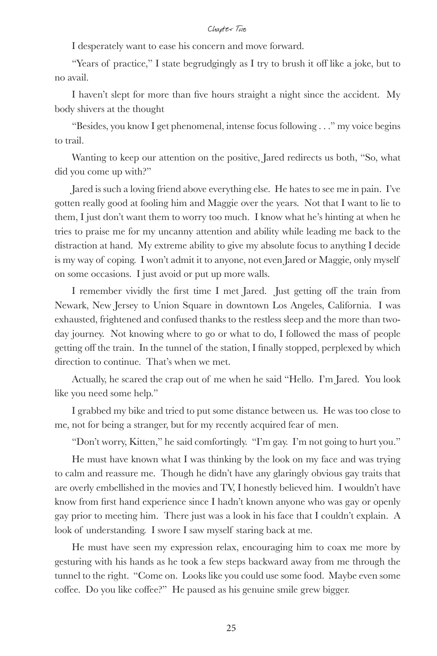I desperately want to ease his concern and move forward.

"Years of practice," I state begrudgingly as I try to brush it off like a joke, but to no avail.

I haven't slept for more than five hours straight a night since the accident. My body shivers at the thought

"Besides, you know I get phenomenal, intense focus following . . ." my voice begins to trail.

Wanting to keep our attention on the positive, Jared redirects us both, "So, what did you come up with?"

Jared is such a loving friend above everything else. He hates to see me in pain. I've gotten really good at fooling him and Maggie over the years. Not that I want to lie to them, I just don't want them to worry too much. I know what he's hinting at when he tries to praise me for my uncanny attention and ability while leading me back to the distraction at hand. My extreme ability to give my absolute focus to anything I decide is my way of coping. I won't admit it to anyone, not even Jared or Maggie, only myself on some occasions. I just avoid or put up more walls.

I remember vividly the first time I met Jared. Just getting off the train from Newark, New Jersey to Union Square in downtown Los Angeles, California. I was exhausted, frightened and confused thanks to the restless sleep and the more than twoday journey. Not knowing where to go or what to do, I followed the mass of people getting off the train. In the tunnel of the station, I finally stopped, perplexed by which direction to continue. That's when we met.

Actually, he scared the crap out of me when he said "Hello. I'm Jared. You look like you need some help."

I grabbed my bike and tried to put some distance between us. He was too close to me, not for being a stranger, but for my recently acquired fear of men.

"Don't worry, Kitten," he said comfortingly. "I'm gay. I'm not going to hurt you."

He must have known what I was thinking by the look on my face and was trying to calm and reassure me. Though he didn't have any glaringly obvious gay traits that are overly embellished in the movies and TV, I honestly believed him. I wouldn't have know from first hand experience since I hadn't known anyone who was gay or openly gay prior to meeting him. There just was a look in his face that I couldn't explain. A look of understanding. I swore I saw myself staring back at me.

He must have seen my expression relax, encouraging him to coax me more by gesturing with his hands as he took a few steps backward away from me through the tunnel to the right. "Come on. Looks like you could use some food. Maybe even some coffee. Do you like coffee?" He paused as his genuine smile grew bigger.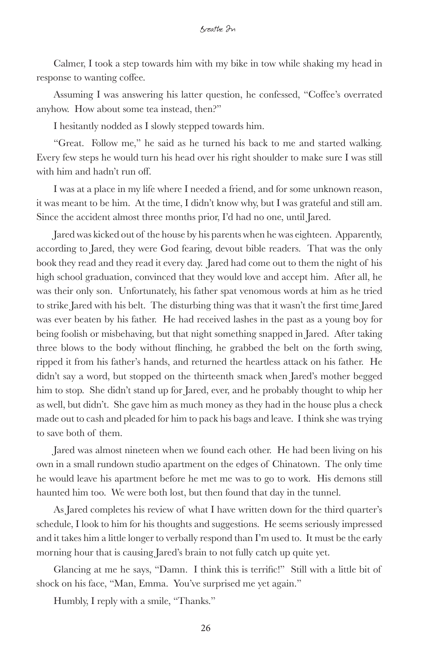Calmer, I took a step towards him with my bike in tow while shaking my head in response to wanting coffee.

Assuming I was answering his latter question, he confessed, "Coffee's overrated anyhow. How about some tea instead, then?"

I hesitantly nodded as I slowly stepped towards him.

"Great. Follow me," he said as he turned his back to me and started walking. Every few steps he would turn his head over his right shoulder to make sure I was still with him and hadn't run off.

I was at a place in my life where I needed a friend, and for some unknown reason, it was meant to be him. At the time, I didn't know why, but I was grateful and still am. Since the accident almost three months prior, I'd had no one, until Jared.

Jared was kicked out of the house by his parents when he was eighteen. Apparently, according to Jared, they were God fearing, devout bible readers. That was the only book they read and they read it every day. Jared had come out to them the night of his high school graduation, convinced that they would love and accept him. After all, he was their only son. Unfortunately, his father spat venomous words at him as he tried to strike Jared with his belt. The disturbing thing was that it wasn't the first time Jared was ever beaten by his father. He had received lashes in the past as a young boy for being foolish or misbehaving, but that night something snapped in Jared. After taking three blows to the body without flinching, he grabbed the belt on the forth swing, ripped it from his father's hands, and returned the heartless attack on his father. He didn't say a word, but stopped on the thirteenth smack when Jared's mother begged him to stop. She didn't stand up for Jared, ever, and he probably thought to whip her as well, but didn't. She gave him as much money as they had in the house plus a check made out to cash and pleaded for him to pack his bags and leave. I think she was trying to save both of them.

Jared was almost nineteen when we found each other. He had been living on his own in a small rundown studio apartment on the edges of Chinatown. The only time he would leave his apartment before he met me was to go to work. His demons still haunted him too. We were both lost, but then found that day in the tunnel.

As Jared completes his review of what I have written down for the third quarter's schedule, I look to him for his thoughts and suggestions. He seems seriously impressed and it takes him a little longer to verbally respond than I'm used to. It must be the early morning hour that is causing Jared's brain to not fully catch up quite yet.

Glancing at me he says, "Damn. I think this is terrific!" Still with a little bit of shock on his face, "Man, Emma. You've surprised me yet again."

Humbly, I reply with a smile, "Thanks."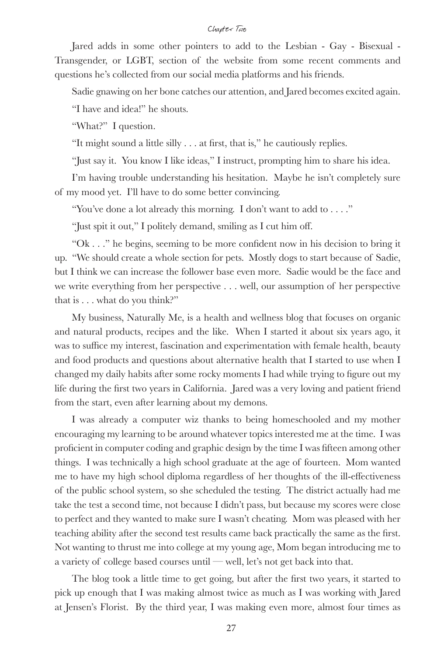Jared adds in some other pointers to add to the Lesbian - Gay - Bisexual - Transgender, or LGBT, section of the website from some recent comments and questions he's collected from our social media platforms and his friends.

Sadie gnawing on her bone catches our attention, and Jared becomes excited again.

"I have and idea!" he shouts.

"What?" I question.

"It might sound a little silly . . . at first, that is," he cautiously replies.

"Just say it. You know I like ideas," I instruct, prompting him to share his idea.

I'm having trouble understanding his hesitation. Maybe he isn't completely sure of my mood yet. I'll have to do some better convincing.

"You've done a lot already this morning. I don't want to add to . . . ."

"Just spit it out," I politely demand, smiling as I cut him off.

"Ok . . ." he begins, seeming to be more confident now in his decision to bring it up. "We should create a whole section for pets. Mostly dogs to start because of Sadie, but I think we can increase the follower base even more. Sadie would be the face and we write everything from her perspective . . . well, our assumption of her perspective that is . . . what do you think?"

My business, Naturally Me, is a health and wellness blog that focuses on organic and natural products, recipes and the like. When I started it about six years ago, it was to suffice my interest, fascination and experimentation with female health, beauty and food products and questions about alternative health that I started to use when I changed my daily habits after some rocky moments I had while trying to figure out my life during the first two years in California. Jared was a very loving and patient friend from the start, even after learning about my demons.

I was already a computer wiz thanks to being homeschooled and my mother encouraging my learning to be around whatever topics interested me at the time. I was proficient in computer coding and graphic design by the time I was fifteen among other things. I was technically a high school graduate at the age of fourteen. Mom wanted me to have my high school diploma regardless of her thoughts of the ill-effectiveness of the public school system, so she scheduled the testing. The district actually had me take the test a second time, not because I didn't pass, but because my scores were close to perfect and they wanted to make sure I wasn't cheating. Mom was pleased with her teaching ability after the second test results came back practically the same as the first. Not wanting to thrust me into college at my young age, Mom began introducing me to a variety of college based courses until — well, let's not get back into that.

The blog took a little time to get going, but after the first two years, it started to pick up enough that I was making almost twice as much as I was working with Jared at Jensen's Florist. By the third year, I was making even more, almost four times as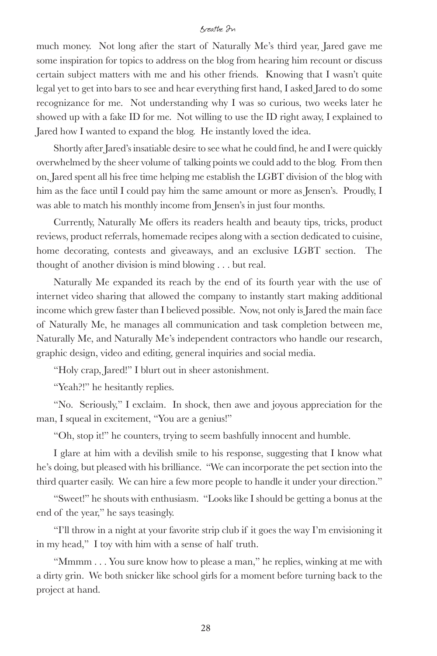much money. Not long after the start of Naturally Me's third year, Jared gave me some inspiration for topics to address on the blog from hearing him recount or discuss certain subject matters with me and his other friends. Knowing that I wasn't quite legal yet to get into bars to see and hear everything first hand, I asked Jared to do some recognizance for me. Not understanding why I was so curious, two weeks later he showed up with a fake ID for me. Not willing to use the ID right away, I explained to Jared how I wanted to expand the blog. He instantly loved the idea.

Shortly after Jared's insatiable desire to see what he could find, he and I were quickly overwhelmed by the sheer volume of talking points we could add to the blog. From then on, Jared spent all his free time helping me establish the LGBT division of the blog with him as the face until I could pay him the same amount or more as Jensen's. Proudly, I was able to match his monthly income from Jensen's in just four months.

Currently, Naturally Me offers its readers health and beauty tips, tricks, product reviews, product referrals, homemade recipes along with a section dedicated to cuisine, home decorating, contests and giveaways, and an exclusive LGBT section. The thought of another division is mind blowing . . . but real.

Naturally Me expanded its reach by the end of its fourth year with the use of internet video sharing that allowed the company to instantly start making additional income which grew faster than I believed possible. Now, not only is Jared the main face of Naturally Me, he manages all communication and task completion between me, Naturally Me, and Naturally Me's independent contractors who handle our research, graphic design, video and editing, general inquiries and social media.

"Holy crap, Jared!" I blurt out in sheer astonishment.

"Yeah?!" he hesitantly replies.

"No. Seriously," I exclaim. In shock, then awe and joyous appreciation for the man, I squeal in excitement, "You are a genius!"

"Oh, stop it!" he counters, trying to seem bashfully innocent and humble.

I glare at him with a devilish smile to his response, suggesting that I know what he's doing, but pleased with his brilliance. "We can incorporate the pet section into the third quarter easily. We can hire a few more people to handle it under your direction."

"Sweet!" he shouts with enthusiasm. "Looks like I should be getting a bonus at the end of the year," he says teasingly.

"I'll throw in a night at your favorite strip club if it goes the way I'm envisioning it in my head," I toy with him with a sense of half truth.

"Mmmm . . . You sure know how to please a man," he replies, winking at me with a dirty grin. We both snicker like school girls for a moment before turning back to the project at hand.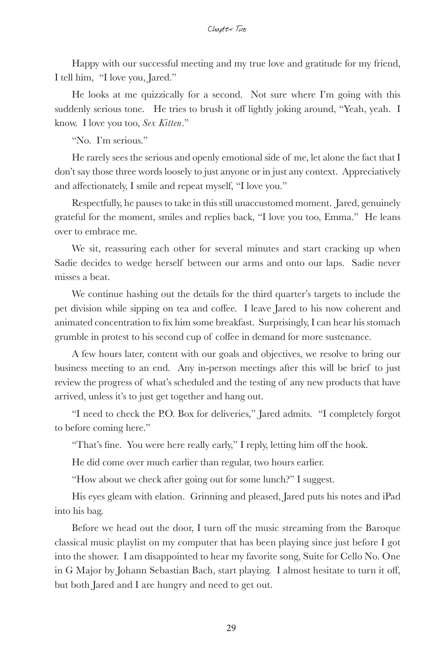Happy with our successful meeting and my true love and gratitude for my friend, I tell him, "I love you, Jared."

He looks at me quizzically for a second. Not sure where I'm going with this suddenly serious tone. He tries to brush it off lightly joking around, "Yeah, yeah. I know. I love you too, *Sex Kitten*."

"No. I'm serious."

He rarely sees the serious and openly emotional side of me, let alone the fact that I don't say those three words loosely to just anyone or in just any context. Appreciatively and affectionately, I smile and repeat myself, "I love you."

Respectfully, he pauses to take in this still unaccustomed moment. Jared, genuinely grateful for the moment, smiles and replies back, "I love you too, Emma." He leans over to embrace me.

We sit, reassuring each other for several minutes and start cracking up when Sadie decides to wedge herself between our arms and onto our laps. Sadie never misses a beat.

We continue hashing out the details for the third quarter's targets to include the pet division while sipping on tea and coffee. I leave Jared to his now coherent and animated concentration to fix him some breakfast. Surprisingly, I can hear his stomach grumble in protest to his second cup of coffee in demand for more sustenance.

A few hours later, content with our goals and objectives, we resolve to bring our business meeting to an end. Any in-person meetings after this will be brief to just review the progress of what's scheduled and the testing of any new products that have arrived, unless it's to just get together and hang out.

"I need to check the P.O. Box for deliveries," Jared admits. "I completely forgot to before coming here."

"That's fine. You were here really early," I reply, letting him off the hook.

He did come over much earlier than regular, two hours earlier.

"How about we check after going out for some lunch?" I suggest.

His eyes gleam with elation. Grinning and pleased, Jared puts his notes and iPad into his bag.

Before we head out the door, I turn off the music streaming from the Baroque classical music playlist on my computer that has been playing since just before I got into the shower. I am disappointed to hear my favorite song, Suite for Cello No. One in G Major by Johann Sebastian Bach, start playing. I almost hesitate to turn it off, but both Jared and I are hungry and need to get out.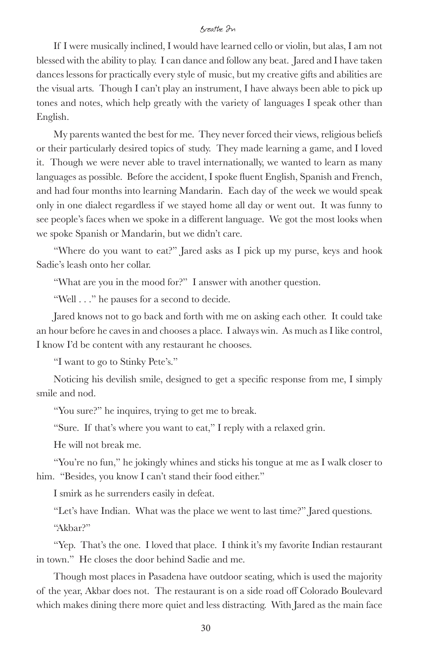If I were musically inclined, I would have learned cello or violin, but alas, I am not blessed with the ability to play. I can dance and follow any beat. Jared and I have taken dances lessons for practically every style of music, but my creative gifts and abilities are the visual arts. Though I can't play an instrument, I have always been able to pick up tones and notes, which help greatly with the variety of languages I speak other than English.

My parents wanted the best for me. They never forced their views, religious beliefs or their particularly desired topics of study. They made learning a game, and I loved it. Though we were never able to travel internationally, we wanted to learn as many languages as possible. Before the accident, I spoke fluent English, Spanish and French, and had four months into learning Mandarin. Each day of the week we would speak only in one dialect regardless if we stayed home all day or went out. It was funny to see people's faces when we spoke in a different language. We got the most looks when we spoke Spanish or Mandarin, but we didn't care.

"Where do you want to eat?" Jared asks as I pick up my purse, keys and hook Sadie's leash onto her collar.

"What are you in the mood for?" I answer with another question.

"Well . . ." he pauses for a second to decide.

Jared knows not to go back and forth with me on asking each other. It could take an hour before he caves in and chooses a place. I always win. As much as I like control, I know I'd be content with any restaurant he chooses.

"I want to go to Stinky Pete's."

Noticing his devilish smile, designed to get a specific response from me, I simply smile and nod.

"You sure?" he inquires, trying to get me to break.

"Sure. If that's where you want to eat," I reply with a relaxed grin.

He will not break me.

"You're no fun," he jokingly whines and sticks his tongue at me as I walk closer to him. "Besides, you know I can't stand their food either."

I smirk as he surrenders easily in defeat.

"Let's have Indian. What was the place we went to last time?" Jared questions. "Akbar?"

"Yep. That's the one. I loved that place. I think it's my favorite Indian restaurant in town." He closes the door behind Sadie and me.

Though most places in Pasadena have outdoor seating, which is used the majority of the year, Akbar does not. The restaurant is on a side road off Colorado Boulevard which makes dining there more quiet and less distracting. With Jared as the main face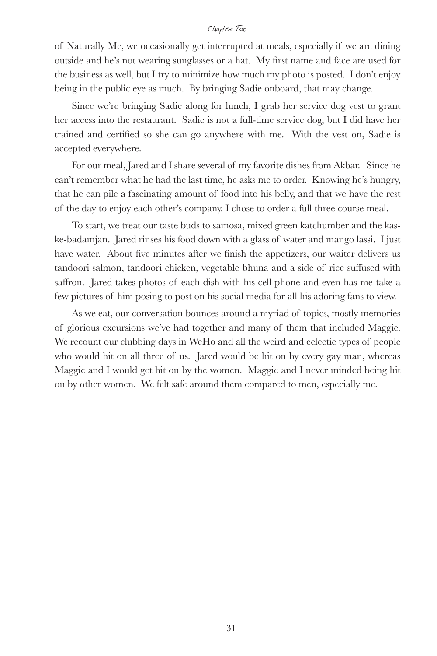of Naturally Me, we occasionally get interrupted at meals, especially if we are dining outside and he's not wearing sunglasses or a hat. My first name and face are used for the business as well, but I try to minimize how much my photo is posted. I don't enjoy being in the public eye as much. By bringing Sadie onboard, that may change.

Since we're bringing Sadie along for lunch, I grab her service dog vest to grant her access into the restaurant. Sadie is not a full-time service dog, but I did have her trained and certified so she can go anywhere with me. With the vest on, Sadie is accepted everywhere.

For our meal, Jared and I share several of my favorite dishes from Akbar. Since he can't remember what he had the last time, he asks me to order. Knowing he's hungry, that he can pile a fascinating amount of food into his belly, and that we have the rest of the day to enjoy each other's company, I chose to order a full three course meal.

To start, we treat our taste buds to samosa, mixed green katchumber and the kaske-badamjan. Jared rinses his food down with a glass of water and mango lassi. I just have water. About five minutes after we finish the appetizers, our waiter delivers us tandoori salmon, tandoori chicken, vegetable bhuna and a side of rice suffused with saffron. Jared takes photos of each dish with his cell phone and even has me take a few pictures of him posing to post on his social media for all his adoring fans to view.

As we eat, our conversation bounces around a myriad of topics, mostly memories of glorious excursions we've had together and many of them that included Maggie. We recount our clubbing days in WeHo and all the weird and eclectic types of people who would hit on all three of us. Jared would be hit on by every gay man, whereas Maggie and I would get hit on by the women. Maggie and I never minded being hit on by other women. We felt safe around them compared to men, especially me.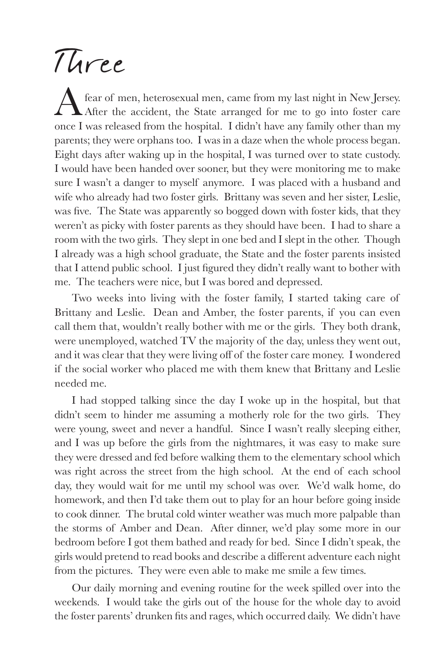# Three

fear of men, heterosexual men, came from my last night in New Jersey. After the accident, the State arranged for me to go into foster care once I was released from the hospital. I didn't have any family other than my parents; they were orphans too. I was in a daze when the whole process began. Eight days after waking up in the hospital, I was turned over to state custody. I would have been handed over sooner, but they were monitoring me to make sure I wasn't a danger to myself anymore. I was placed with a husband and wife who already had two foster girls. Brittany was seven and her sister, Leslie, was five. The State was apparently so bogged down with foster kids, that they weren't as picky with foster parents as they should have been. I had to share a room with the two girls. They slept in one bed and I slept in the other. Though I already was a high school graduate, the State and the foster parents insisted that I attend public school. I just figured they didn't really want to bother with me. The teachers were nice, but I was bored and depressed.

Two weeks into living with the foster family, I started taking care of Brittany and Leslie. Dean and Amber, the foster parents, if you can even call them that, wouldn't really bother with me or the girls. They both drank, were unemployed, watched TV the majority of the day, unless they went out, and it was clear that they were living off of the foster care money. I wondered if the social worker who placed me with them knew that Brittany and Leslie needed me.

I had stopped talking since the day I woke up in the hospital, but that didn't seem to hinder me assuming a motherly role for the two girls. They were young, sweet and never a handful. Since I wasn't really sleeping either, and I was up before the girls from the nightmares, it was easy to make sure they were dressed and fed before walking them to the elementary school which was right across the street from the high school. At the end of each school day, they would wait for me until my school was over. We'd walk home, do homework, and then I'd take them out to play for an hour before going inside to cook dinner. The brutal cold winter weather was much more palpable than the storms of Amber and Dean. After dinner, we'd play some more in our bedroom before I got them bathed and ready for bed. Since I didn't speak, the girls would pretend to read books and describe a different adventure each night from the pictures. They were even able to make me smile a few times.

Our daily morning and evening routine for the week spilled over into the weekends. I would take the girls out of the house for the whole day to avoid the foster parents' drunken fits and rages, which occurred daily. We didn't have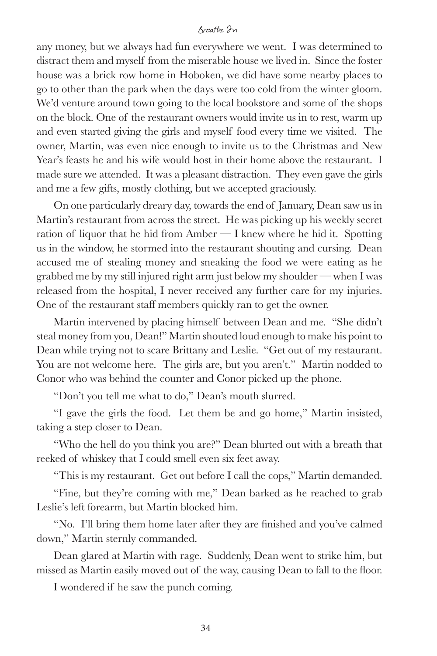any money, but we always had fun everywhere we went. I was determined to distract them and myself from the miserable house we lived in. Since the foster house was a brick row home in Hoboken, we did have some nearby places to go to other than the park when the days were too cold from the winter gloom. We'd venture around town going to the local bookstore and some of the shops on the block. One of the restaurant owners would invite us in to rest, warm up and even started giving the girls and myself food every time we visited. The owner, Martin, was even nice enough to invite us to the Christmas and New Year's feasts he and his wife would host in their home above the restaurant. I made sure we attended. It was a pleasant distraction. They even gave the girls and me a few gifts, mostly clothing, but we accepted graciously.

On one particularly dreary day, towards the end of January, Dean saw us in Martin's restaurant from across the street. He was picking up his weekly secret ration of liquor that he hid from Amber  $-I$  knew where he hid it. Spotting us in the window, he stormed into the restaurant shouting and cursing. Dean accused me of stealing money and sneaking the food we were eating as he grabbed me by my still injured right arm just below my shoulder — when I was released from the hospital, I never received any further care for my injuries. One of the restaurant staff members quickly ran to get the owner.

Martin intervened by placing himself between Dean and me. "She didn't steal money from you, Dean!" Martin shouted loud enough to make his point to Dean while trying not to scare Brittany and Leslie. "Get out of my restaurant. You are not welcome here. The girls are, but you aren't." Martin nodded to Conor who was behind the counter and Conor picked up the phone.

"Don't you tell me what to do," Dean's mouth slurred.

"I gave the girls the food. Let them be and go home," Martin insisted, taking a step closer to Dean.

"Who the hell do you think you are?" Dean blurted out with a breath that reeked of whiskey that I could smell even six feet away.

"This is my restaurant. Get out before I call the cops," Martin demanded.

"Fine, but they're coming with me," Dean barked as he reached to grab Leslie's left forearm, but Martin blocked him.

"No. I'll bring them home later after they are finished and you've calmed down," Martin sternly commanded.

Dean glared at Martin with rage. Suddenly, Dean went to strike him, but missed as Martin easily moved out of the way, causing Dean to fall to the floor.

I wondered if he saw the punch coming.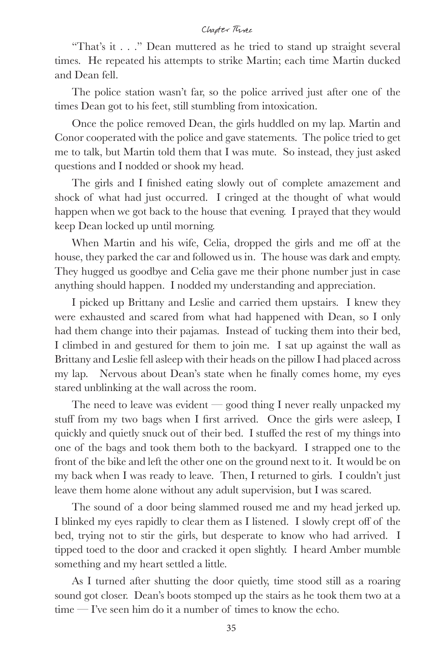#### Chapter Three

"That's it . . ." Dean muttered as he tried to stand up straight several times. He repeated his attempts to strike Martin; each time Martin ducked and Dean fell.

The police station wasn't far, so the police arrived just after one of the times Dean got to his feet, still stumbling from intoxication.

Once the police removed Dean, the girls huddled on my lap. Martin and Conor cooperated with the police and gave statements. The police tried to get me to talk, but Martin told them that I was mute. So instead, they just asked questions and I nodded or shook my head.

The girls and I finished eating slowly out of complete amazement and shock of what had just occurred. I cringed at the thought of what would happen when we got back to the house that evening. I prayed that they would keep Dean locked up until morning.

When Martin and his wife, Celia, dropped the girls and me off at the house, they parked the car and followed us in. The house was dark and empty. They hugged us goodbye and Celia gave me their phone number just in case anything should happen. I nodded my understanding and appreciation.

I picked up Brittany and Leslie and carried them upstairs. I knew they were exhausted and scared from what had happened with Dean, so I only had them change into their pajamas. Instead of tucking them into their bed, I climbed in and gestured for them to join me. I sat up against the wall as Brittany and Leslie fell asleep with their heads on the pillow I had placed across my lap. Nervous about Dean's state when he finally comes home, my eyes stared unblinking at the wall across the room.

The need to leave was evident  $-$  good thing I never really unpacked my stuff from my two bags when I first arrived. Once the girls were asleep, I quickly and quietly snuck out of their bed. I stuffed the rest of my things into one of the bags and took them both to the backyard. I strapped one to the front of the bike and left the other one on the ground next to it. It would be on my back when I was ready to leave. Then, I returned to girls. I couldn't just leave them home alone without any adult supervision, but I was scared.

The sound of a door being slammed roused me and my head jerked up. I blinked my eyes rapidly to clear them as I listened. I slowly crept off of the bed, trying not to stir the girls, but desperate to know who had arrived. I tipped toed to the door and cracked it open slightly. I heard Amber mumble something and my heart settled a little.

As I turned after shutting the door quietly, time stood still as a roaring sound got closer. Dean's boots stomped up the stairs as he took them two at a  $time - r$  is seen him do it a number of times to know the echo.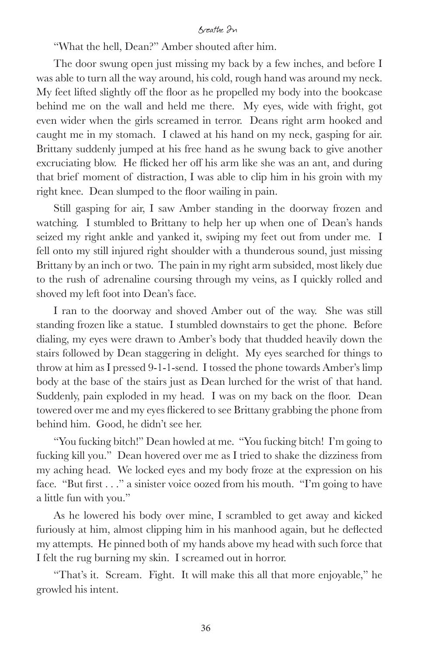"What the hell, Dean?" Amber shouted after him.

The door swung open just missing my back by a few inches, and before I was able to turn all the way around, his cold, rough hand was around my neck. My feet lifted slightly off the floor as he propelled my body into the bookcase behind me on the wall and held me there. My eyes, wide with fright, got even wider when the girls screamed in terror. Deans right arm hooked and caught me in my stomach. I clawed at his hand on my neck, gasping for air. Brittany suddenly jumped at his free hand as he swung back to give another excruciating blow. He flicked her off his arm like she was an ant, and during that brief moment of distraction, I was able to clip him in his groin with my right knee. Dean slumped to the floor wailing in pain.

Still gasping for air, I saw Amber standing in the doorway frozen and watching. I stumbled to Brittany to help her up when one of Dean's hands seized my right ankle and yanked it, swiping my feet out from under me. I fell onto my still injured right shoulder with a thunderous sound, just missing Brittany by an inch or two. The pain in my right arm subsided, most likely due to the rush of adrenaline coursing through my veins, as I quickly rolled and shoved my left foot into Dean's face.

I ran to the doorway and shoved Amber out of the way. She was still standing frozen like a statue. I stumbled downstairs to get the phone. Before dialing, my eyes were drawn to Amber's body that thudded heavily down the stairs followed by Dean staggering in delight. My eyes searched for things to throw at him as I pressed 9-1-1-send. I tossed the phone towards Amber's limp body at the base of the stairs just as Dean lurched for the wrist of that hand. Suddenly, pain exploded in my head. I was on my back on the floor. Dean towered over me and my eyes flickered to see Brittany grabbing the phone from behind him. Good, he didn't see her.

"You fucking bitch!" Dean howled at me. "You fucking bitch! I'm going to fucking kill you." Dean hovered over me as I tried to shake the dizziness from my aching head. We locked eyes and my body froze at the expression on his face. "But first . . ." a sinister voice oozed from his mouth. "I'm going to have a little fun with you."

As he lowered his body over mine, I scrambled to get away and kicked furiously at him, almost clipping him in his manhood again, but he deflected my attempts. He pinned both of my hands above my head with such force that I felt the rug burning my skin. I screamed out in horror.

"That's it. Scream. Fight. It will make this all that more enjoyable," he growled his intent.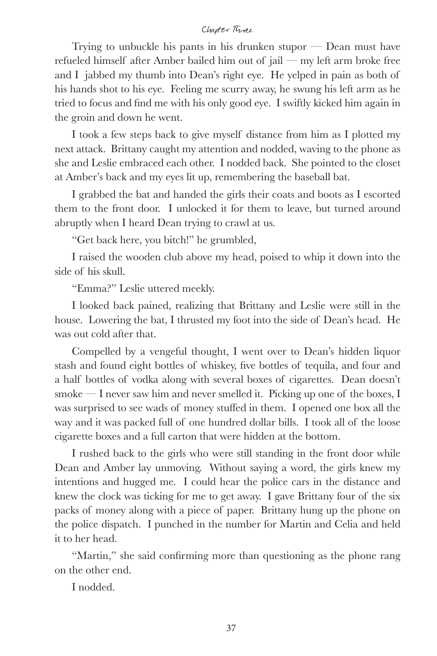#### Chapter Three

Trying to unbuckle his pants in his drunken stupor  $-$  Dean must have refueled himself after Amber bailed him out of jail — my left arm broke free and I jabbed my thumb into Dean's right eye. He yelped in pain as both of his hands shot to his eye. Feeling me scurry away, he swung his left arm as he tried to focus and find me with his only good eye. I swiftly kicked him again in the groin and down he went.

I took a few steps back to give myself distance from him as I plotted my next attack. Brittany caught my attention and nodded, waving to the phone as she and Leslie embraced each other. I nodded back. She pointed to the closet at Amber's back and my eyes lit up, remembering the baseball bat.

I grabbed the bat and handed the girls their coats and boots as I escorted them to the front door. I unlocked it for them to leave, but turned around abruptly when I heard Dean trying to crawl at us.

"Get back here, you bitch!" he grumbled,

I raised the wooden club above my head, poised to whip it down into the side of his skull.

"Emma?" Leslie uttered meekly.

I looked back pained, realizing that Brittany and Leslie were still in the house. Lowering the bat, I thrusted my foot into the side of Dean's head. He was out cold after that.

Compelled by a vengeful thought, I went over to Dean's hidden liquor stash and found eight bottles of whiskey, five bottles of tequila, and four and a half bottles of vodka along with several boxes of cigarettes. Dean doesn't  $smoke - I$  never saw him and never smelled it. Picking up one of the boxes, I was surprised to see wads of money stuffed in them. I opened one box all the way and it was packed full of one hundred dollar bills. I took all of the loose cigarette boxes and a full carton that were hidden at the bottom.

I rushed back to the girls who were still standing in the front door while Dean and Amber lay unmoving. Without saying a word, the girls knew my intentions and hugged me. I could hear the police cars in the distance and knew the clock was ticking for me to get away. I gave Brittany four of the six packs of money along with a piece of paper. Brittany hung up the phone on the police dispatch. I punched in the number for Martin and Celia and held it to her head.

"Martin," she said confirming more than questioning as the phone rang on the other end.

I nodded.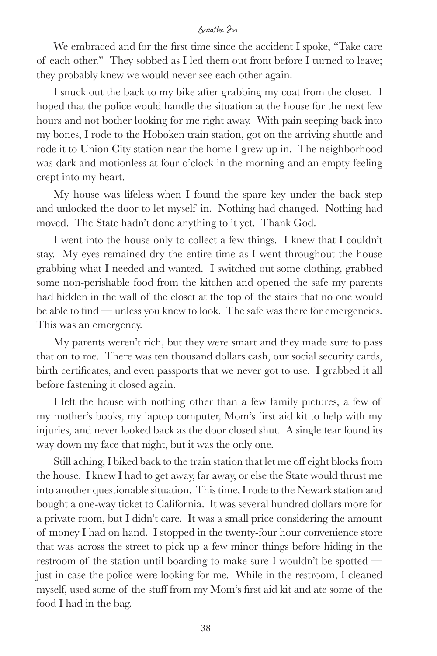We embraced and for the first time since the accident I spoke, "Take care of each other." They sobbed as I led them out front before I turned to leave; they probably knew we would never see each other again.

I snuck out the back to my bike after grabbing my coat from the closet. I hoped that the police would handle the situation at the house for the next few hours and not bother looking for me right away. With pain seeping back into my bones, I rode to the Hoboken train station, got on the arriving shuttle and rode it to Union City station near the home I grew up in. The neighborhood was dark and motionless at four o'clock in the morning and an empty feeling crept into my heart.

My house was lifeless when I found the spare key under the back step and unlocked the door to let myself in. Nothing had changed. Nothing had moved. The State hadn't done anything to it yet. Thank God.

I went into the house only to collect a few things. I knew that I couldn't stay. My eyes remained dry the entire time as I went throughout the house grabbing what I needed and wanted. I switched out some clothing, grabbed some non-perishable food from the kitchen and opened the safe my parents had hidden in the wall of the closet at the top of the stairs that no one would be able to find — unless you knew to look. The safe was there for emergencies. This was an emergency.

My parents weren't rich, but they were smart and they made sure to pass that on to me. There was ten thousand dollars cash, our social security cards, birth certificates, and even passports that we never got to use. I grabbed it all before fastening it closed again.

I left the house with nothing other than a few family pictures, a few of my mother's books, my laptop computer, Mom's first aid kit to help with my injuries, and never looked back as the door closed shut. A single tear found its way down my face that night, but it was the only one.

Still aching, I biked back to the train station that let me off eight blocks from the house. I knew I had to get away, far away, or else the State would thrust me into another questionable situation. This time, I rode to the Newark station and bought a one-way ticket to California. It was several hundred dollars more for a private room, but I didn't care. It was a small price considering the amount of money I had on hand. I stopped in the twenty-four hour convenience store that was across the street to pick up a few minor things before hiding in the restroom of the station until boarding to make sure I wouldn't be spotted just in case the police were looking for me. While in the restroom, I cleaned myself, used some of the stuff from my Mom's first aid kit and ate some of the food I had in the bag.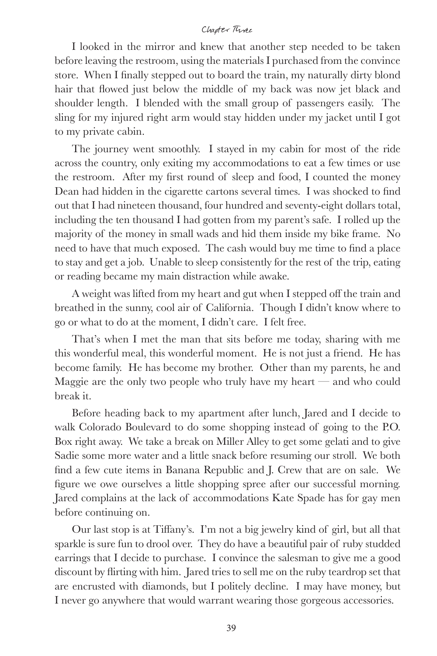#### Chapter Three

I looked in the mirror and knew that another step needed to be taken before leaving the restroom, using the materials I purchased from the convince store. When I finally stepped out to board the train, my naturally dirty blond hair that flowed just below the middle of my back was now jet black and shoulder length. I blended with the small group of passengers easily. The sling for my injured right arm would stay hidden under my jacket until I got to my private cabin.

The journey went smoothly. I stayed in my cabin for most of the ride across the country, only exiting my accommodations to eat a few times or use the restroom. After my first round of sleep and food, I counted the money Dean had hidden in the cigarette cartons several times. I was shocked to find out that I had nineteen thousand, four hundred and seventy-eight dollars total, including the ten thousand I had gotten from my parent's safe. I rolled up the majority of the money in small wads and hid them inside my bike frame. No need to have that much exposed. The cash would buy me time to find a place to stay and get a job. Unable to sleep consistently for the rest of the trip, eating or reading became my main distraction while awake.

A weight was lifted from my heart and gut when I stepped off the train and breathed in the sunny, cool air of California. Though I didn't know where to go or what to do at the moment, I didn't care. I felt free.

That's when I met the man that sits before me today, sharing with me this wonderful meal, this wonderful moment. He is not just a friend. He has become family. He has become my brother. Other than my parents, he and Maggie are the only two people who truly have my heart  $-$  and who could break it.

Before heading back to my apartment after lunch, Jared and I decide to walk Colorado Boulevard to do some shopping instead of going to the P.O. Box right away. We take a break on Miller Alley to get some gelati and to give Sadie some more water and a little snack before resuming our stroll. We both find a few cute items in Banana Republic and J. Crew that are on sale. We figure we owe ourselves a little shopping spree after our successful morning. Jared complains at the lack of accommodations Kate Spade has for gay men before continuing on.

Our last stop is at Tiffany's. I'm not a big jewelry kind of girl, but all that sparkle is sure fun to drool over. They do have a beautiful pair of ruby studded earrings that I decide to purchase. I convince the salesman to give me a good discount by flirting with him. Jared tries to sell me on the ruby teardrop set that are encrusted with diamonds, but I politely decline. I may have money, but I never go anywhere that would warrant wearing those gorgeous accessories.